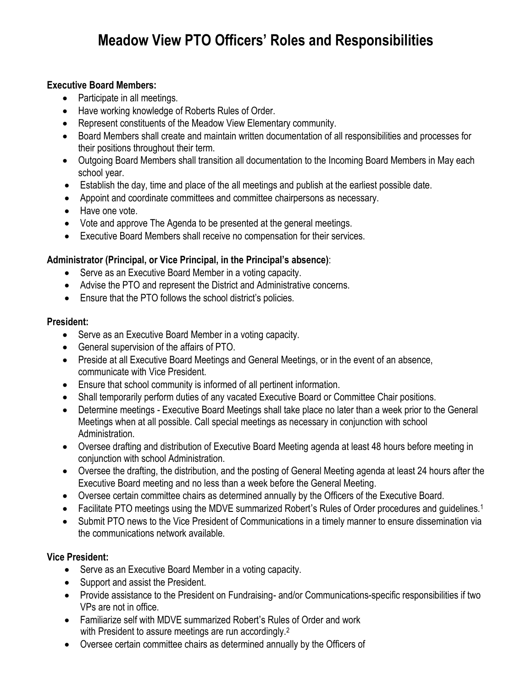# **Meadow View PTO Officers' Roles and Responsibilities**

#### **Executive Board Members:**

- Participate in all meetings.
- Have working knowledge of Roberts Rules of Order.
- Represent constituents of the Meadow View Elementary community.
- Board Members shall create and maintain written documentation of all responsibilities and processes for their positions throughout their term.
- Outgoing Board Members shall transition all documentation to the Incoming Board Members in May each school year.
- Establish the day, time and place of the all meetings and publish at the earliest possible date.
- Appoint and coordinate committees and committee chairpersons as necessary.
- Have one vote.
- Vote and approve The Agenda to be presented at the general meetings.
- Executive Board Members shall receive no compensation for their services.

#### **Administrator (Principal, or Vice Principal, in the Principal's absence)**:

- Serve as an Executive Board Member in a voting capacity.
- Advise the PTO and represent the District and Administrative concerns.
- Ensure that the PTO follows the school district's policies.

#### **President:**

- Serve as an Executive Board Member in a voting capacity.
- General supervision of the affairs of PTO.
- Preside at all Executive Board Meetings and General Meetings, or in the event of an absence, communicate with Vice President.
- Ensure that school community is informed of all pertinent information.
- Shall temporarily perform duties of any vacated Executive Board or Committee Chair positions.
- Determine meetings Executive Board Meetings shall take place no later than a week prior to the General Meetings when at all possible. Call special meetings as necessary in conjunction with school Administration.
- Oversee drafting and distribution of Executive Board Meeting agenda at least 48 hours before meeting in conjunction with school Administration.
- Oversee the drafting, the distribution, and the posting of General Meeting agenda at least 24 hours after the Executive Board meeting and no less than a week before the General Meeting.
- Oversee certain committee chairs as determined annually by the Officers of the Executive Board.
- Facilitate PTO meetings using the MDVE summarized Robert's Rules of Order procedures and guidelines.<sup>1</sup>
- Submit PTO news to the Vice President of Communications in a timely manner to ensure dissemination via the communications network available.

### **Vice President:**

- Serve as an Executive Board Member in a voting capacity.
- Support and assist the President.
- Provide assistance to the President on Fundraising- and/or Communications-specific responsibilities if two VPs are not in office.
- Familiarize self with MDVE summarized Robert's Rules of Order and work with President to assure meetings are run accordingly.<sup>2</sup>
- Oversee certain committee chairs as determined annually by the Officers of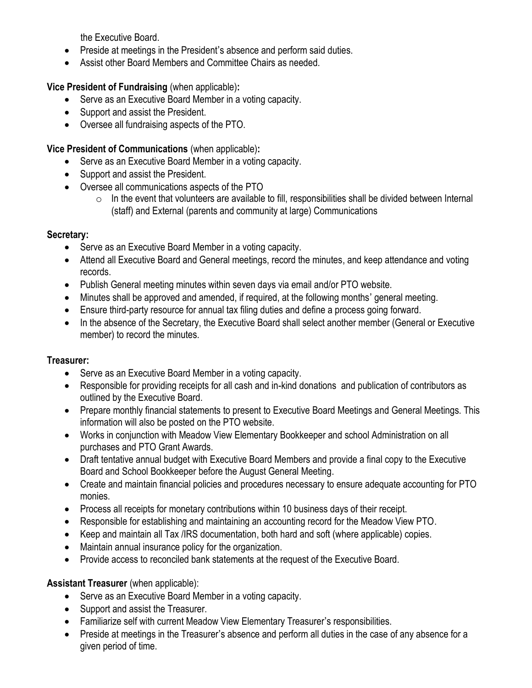the Executive Board.

- Preside at meetings in the President's absence and perform said duties.
- Assist other Board Members and Committee Chairs as needed.

## **Vice President of Fundraising** (when applicable)**:**

- Serve as an Executive Board Member in a voting capacity.
- Support and assist the President.
- Oversee all fundraising aspects of the PTO.

## **Vice President of Communications** (when applicable)**:**

- Serve as an Executive Board Member in a voting capacity.
- Support and assist the President.
- Oversee all communications aspects of the PTO
	- $\circ$  In the event that volunteers are available to fill, responsibilities shall be divided between Internal (staff) and External (parents and community at large) Communications

## **Secretary:**

- Serve as an Executive Board Member in a voting capacity.
- Attend all Executive Board and General meetings, record the minutes, and keep attendance and voting records.
- Publish General meeting minutes within seven days via email and/or PTO website.
- Minutes shall be approved and amended, if required, at the following months' general meeting.
- Ensure third-party resource for annual tax filing duties and define a process going forward.
- In the absence of the Secretary, the Executive Board shall select another member (General or Executive member) to record the minutes.

### **Treasurer:**

- Serve as an Executive Board Member in a voting capacity.
- Responsible for providing receipts for all cash and in-kind donations and publication of contributors as outlined by the Executive Board.
- Prepare monthly financial statements to present to Executive Board Meetings and General Meetings. This information will also be posted on the PTO website.
- Works in conjunction with Meadow View Elementary Bookkeeper and school Administration on all purchases and PTO Grant Awards.
- Draft tentative annual budget with Executive Board Members and provide a final copy to the Executive Board and School Bookkeeper before the August General Meeting.
- Create and maintain financial policies and procedures necessary to ensure adequate accounting for PTO monies.
- Process all receipts for monetary contributions within 10 business days of their receipt.
- Responsible for establishing and maintaining an accounting record for the Meadow View PTO.
- Keep and maintain all Tax /IRS documentation, both hard and soft (where applicable) copies.
- Maintain annual insurance policy for the organization.
- Provide access to reconciled bank statements at the request of the Executive Board.

# **Assistant Treasurer** (when applicable):

- Serve as an Executive Board Member in a voting capacity.
- Support and assist the Treasurer.
- Familiarize self with current Meadow View Elementary Treasurer's responsibilities.
- Preside at meetings in the Treasurer's absence and perform all duties in the case of any absence for a given period of time.